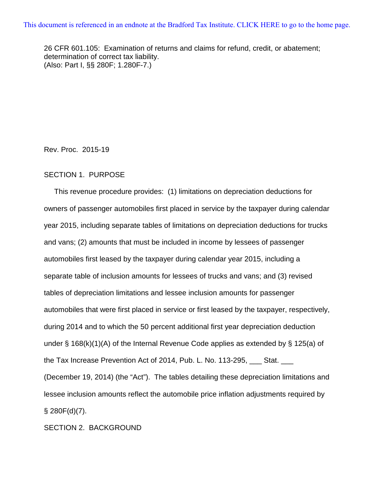26 CFR 601.105: Examination of returns and claims for refund, credit, or abatement; determination of correct tax liability. (Also: Part I, §§ 280F; 1.280F-7.)

Rev. Proc. 2015-19

## SECTION 1. PURPOSE

 This revenue procedure provides: (1) limitations on depreciation deductions for owners of passenger automobiles first placed in service by the taxpayer during calendar year 2015, including separate tables of limitations on depreciation deductions for trucks and vans; (2) amounts that must be included in income by lessees of passenger automobiles first leased by the taxpayer during calendar year 2015, including a separate table of inclusion amounts for lessees of trucks and vans; and (3) revised tables of depreciation limitations and lessee inclusion amounts for passenger automobiles that were first placed in service or first leased by the taxpayer, respectively, during 2014 and to which the 50 percent additional first year depreciation deduction under § 168(k)(1)(A) of the Internal Revenue Code applies as extended by § 125(a) of the Tax Increase Prevention Act of 2014, Pub. L. No. 113-295, \_\_\_ Stat. \_\_\_ (December 19, 2014) (the "Act"). The tables detailing these depreciation limitations and lessee inclusion amounts reflect the automobile price inflation adjustments required by  $§$  280 $F(d)(7)$ .

SECTION 2. BACKGROUND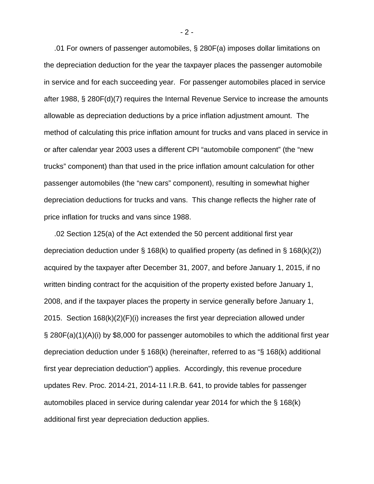.01 For owners of passenger automobiles, § 280F(a) imposes dollar limitations on the depreciation deduction for the year the taxpayer places the passenger automobile in service and for each succeeding year. For passenger automobiles placed in service after 1988, § 280F(d)(7) requires the Internal Revenue Service to increase the amounts allowable as depreciation deductions by a price inflation adjustment amount. The method of calculating this price inflation amount for trucks and vans placed in service in or after calendar year 2003 uses a different CPI "automobile component" (the "new trucks" component) than that used in the price inflation amount calculation for other passenger automobiles (the "new cars" component), resulting in somewhat higher depreciation deductions for trucks and vans. This change reflects the higher rate of price inflation for trucks and vans since 1988.

 .02 Section 125(a) of the Act extended the 50 percent additional first year depreciation deduction under § 168(k) to qualified property (as defined in § 168(k)(2)) acquired by the taxpayer after December 31, 2007, and before January 1, 2015, if no written binding contract for the acquisition of the property existed before January 1, 2008, and if the taxpayer places the property in service generally before January 1, 2015. Section 168(k)(2)(F)(i) increases the first year depreciation allowed under § 280F(a)(1)(A)(i) by \$8,000 for passenger automobiles to which the additional first year depreciation deduction under § 168(k) (hereinafter, referred to as "§ 168(k) additional first year depreciation deduction") applies. Accordingly, this revenue procedure updates Rev. Proc. 2014-21, 2014-11 I.R.B. 641, to provide tables for passenger automobiles placed in service during calendar year 2014 for which the § 168(k) additional first year depreciation deduction applies.

- 2 -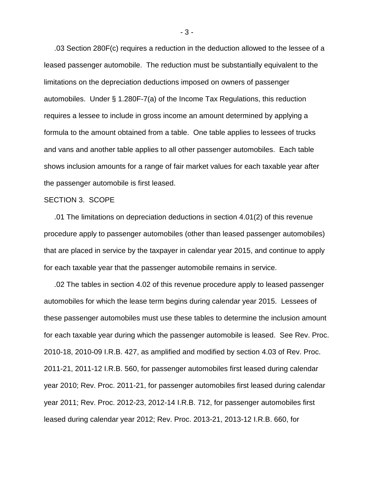.03 Section 280F(c) requires a reduction in the deduction allowed to the lessee of a leased passenger automobile. The reduction must be substantially equivalent to the limitations on the depreciation deductions imposed on owners of passenger automobiles. Under § 1.280F-7(a) of the Income Tax Regulations, this reduction requires a lessee to include in gross income an amount determined by applying a formula to the amount obtained from a table. One table applies to lessees of trucks and vans and another table applies to all other passenger automobiles. Each table shows inclusion amounts for a range of fair market values for each taxable year after the passenger automobile is first leased.

#### SECTION 3. SCOPE

 .01 The limitations on depreciation deductions in section 4.01(2) of this revenue procedure apply to passenger automobiles (other than leased passenger automobiles) that are placed in service by the taxpayer in calendar year 2015, and continue to apply for each taxable year that the passenger automobile remains in service.

 .02 The tables in section 4.02 of this revenue procedure apply to leased passenger automobiles for which the lease term begins during calendar year 2015. Lessees of these passenger automobiles must use these tables to determine the inclusion amount for each taxable year during which the passenger automobile is leased. See Rev. Proc. 2010-18, 2010-09 I.R.B. 427, as amplified and modified by section 4.03 of Rev. Proc. 2011-21, 2011-12 I.R.B. 560, for passenger automobiles first leased during calendar year 2010; Rev. Proc. 2011-21, for passenger automobiles first leased during calendar year 2011; Rev. Proc. 2012-23, 2012-14 I.R.B. 712, for passenger automobiles first leased during calendar year 2012; Rev. Proc. 2013-21, 2013-12 I.R.B. 660, for

- 3 -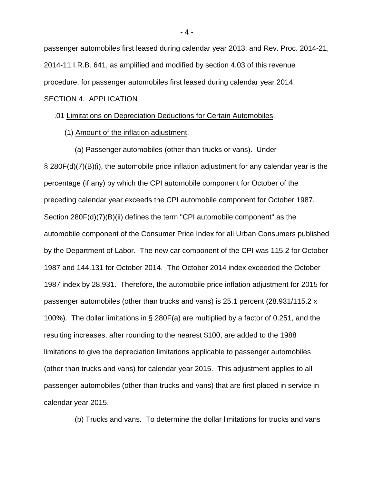passenger automobiles first leased during calendar year 2013; and Rev. Proc. 2014-21, 2014-11 I.R.B. 641, as amplified and modified by section 4.03 of this revenue procedure, for passenger automobiles first leased during calendar year 2014. SECTION 4. APPLICATION

#### .01 Limitations on Depreciation Deductions for Certain Automobiles.

(1) Amount of the inflation adjustment.

(a) Passenger automobiles (other than trucks or vans). Under

§ 280F(d)(7)(B)(i), the automobile price inflation adjustment for any calendar year is the percentage (if any) by which the CPI automobile component for October of the preceding calendar year exceeds the CPI automobile component for October 1987. Section 280F(d)(7)(B)(ii) defines the term "CPI automobile component" as the automobile component of the Consumer Price Index for all Urban Consumers published by the Department of Labor. The new car component of the CPI was 115.2 for October 1987 and 144.131 for October 2014. The October 2014 index exceeded the October 1987 index by 28.931. Therefore, the automobile price inflation adjustment for 2015 for passenger automobiles (other than trucks and vans) is 25.1 percent (28.931/115.2 x 100%). The dollar limitations in § 280F(a) are multiplied by a factor of 0.251, and the resulting increases, after rounding to the nearest \$100, are added to the 1988 limitations to give the depreciation limitations applicable to passenger automobiles (other than trucks and vans) for calendar year 2015. This adjustment applies to all passenger automobiles (other than trucks and vans) that are first placed in service in calendar year 2015.

(b) Trucks and vans. To determine the dollar limitations for trucks and vans

- 4 -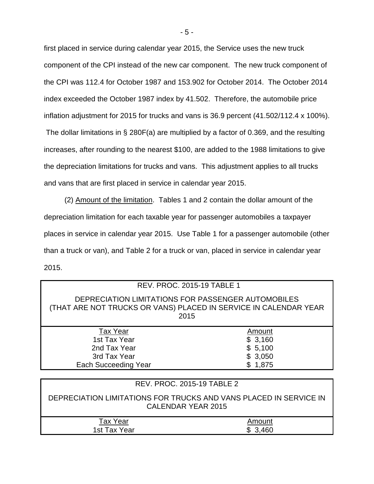first placed in service during calendar year 2015, the Service uses the new truck component of the CPI instead of the new car component. The new truck component of the CPI was 112.4 for October 1987 and 153.902 for October 2014. The October 2014 index exceeded the October 1987 index by 41.502. Therefore, the automobile price inflation adjustment for 2015 for trucks and vans is 36.9 percent (41.502/112.4 x 100%).

The dollar limitations in § 280F(a) are multiplied by a factor of 0.369, and the resulting increases, after rounding to the nearest \$100, are added to the 1988 limitations to give the depreciation limitations for trucks and vans. This adjustment applies to all trucks and vans that are first placed in service in calendar year 2015.

 (2) Amount of the limitation. Tables 1 and 2 contain the dollar amount of the depreciation limitation for each taxable year for passenger automobiles a taxpayer places in service in calendar year 2015. Use Table 1 for a passenger automobile (other than a truck or van), and Table 2 for a truck or van, placed in service in calendar year 2015.

| DEPRECIATION LIMITATIONS FOR PASSENGER AUTOMOBILES<br>(THAT ARE NOT TRUCKS OR VANS) PLACED IN SERVICE IN CALENDAR YEAR<br>2015<br><b>Tax Year</b><br>Amount<br>1st Tax Year<br>\$3,160<br>\$5,100<br>2nd Tax Year<br>\$3,050<br>3rd Tax Year<br><b>Each Succeeding Year</b><br>\$1,875 |  | <b>REV. PROC. 2015-19 TABLE 1</b> |  |  |  |
|----------------------------------------------------------------------------------------------------------------------------------------------------------------------------------------------------------------------------------------------------------------------------------------|--|-----------------------------------|--|--|--|
|                                                                                                                                                                                                                                                                                        |  |                                   |  |  |  |
|                                                                                                                                                                                                                                                                                        |  |                                   |  |  |  |
|                                                                                                                                                                                                                                                                                        |  |                                   |  |  |  |
|                                                                                                                                                                                                                                                                                        |  |                                   |  |  |  |
|                                                                                                                                                                                                                                                                                        |  |                                   |  |  |  |
|                                                                                                                                                                                                                                                                                        |  |                                   |  |  |  |

|                          | REV. PROC. 2015-19 TABLE 2                                                              |
|--------------------------|-----------------------------------------------------------------------------------------|
|                          | DEPRECIATION LIMITATIONS FOR TRUCKS AND VANS PLACED IN SERVICE IN<br>CALENDAR YEAR 2015 |
| Tax Year<br>1st Tax Year | Amount<br>\$3.460                                                                       |
|                          |                                                                                         |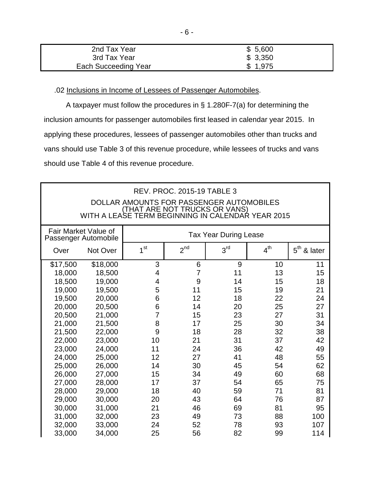| 2nd Tax Year         | \$5,600 |
|----------------------|---------|
| 3rd Tax Year         | \$3,350 |
| Each Succeeding Year | \$1,975 |

.02 Inclusions in Income of Lessees of Passenger Automobiles.

A taxpayer must follow the procedures in § 1.280F-7(a) for determining the inclusion amounts for passenger automobiles first leased in calendar year 2015. In applying these procedures, lessees of passenger automobiles other than trucks and vans should use Table 3 of this revenue procedure, while lessees of trucks and vans should use Table 4 of this revenue procedure.

| <b>REV. PROC. 2015-19 TABLE 3</b><br>DOLLAR AMOUNTS FOR PASSENGER AUTOMOBILES<br>(THAT ARE NOT TRUCKS OR VANS)<br>WITH A LEASE TERM BEGINNING IN CALENDAR YEAR 2015 |          |                 |                |                              |                 |                         |
|---------------------------------------------------------------------------------------------------------------------------------------------------------------------|----------|-----------------|----------------|------------------------------|-----------------|-------------------------|
| Fair Market Value of<br>Passenger Automobile                                                                                                                        |          |                 |                | <b>Tax Year During Lease</b> |                 |                         |
| Over                                                                                                                                                                | Not Over | 1 <sup>st</sup> | $2^{nd}$       | 3 <sup>rd</sup>              | 4 <sup>th</sup> | $5^{\text{th}}$ & later |
| \$17,500                                                                                                                                                            | \$18,000 | 3               | 6              | 9                            | 10              | 11                      |
| 18,000                                                                                                                                                              | 18,500   | 4               | $\overline{7}$ | 11                           | 13              | 15                      |
| 18,500                                                                                                                                                              | 19,000   | 4               | 9              | 14                           | 15              | 18                      |
| 19,000                                                                                                                                                              | 19,500   | 5               | 11             | 15                           | 19              | 21                      |
| 19,500                                                                                                                                                              | 20,000   | 6               | 12             | 18                           | 22              | 24                      |
| 20,000                                                                                                                                                              | 20,500   | 6               | 14             | 20                           | 25              | 27                      |
| 20,500                                                                                                                                                              | 21,000   | 7               | 15             | 23                           | 27              | 31                      |
| 21,000                                                                                                                                                              | 21,500   | 8               | 17             | 25                           | 30              | 34                      |
| 21,500                                                                                                                                                              | 22,000   | 9               | 18             | 28                           | 32              | 38                      |
| 22,000                                                                                                                                                              | 23,000   | 10              | 21             | 31                           | 37              | 42                      |
| 23,000                                                                                                                                                              | 24,000   | 11              | 24             | 36                           | 42              | 49                      |
| 24,000                                                                                                                                                              | 25,000   | 12              | 27             | 41                           | 48              | 55                      |
| 25,000                                                                                                                                                              | 26,000   | 14              | 30             | 45                           | 54              | 62                      |
| 26,000                                                                                                                                                              | 27,000   | 15              | 34             | 49                           | 60              | 68                      |
| 27,000                                                                                                                                                              | 28,000   | 17              | 37             | 54                           | 65              | 75                      |
| 28,000                                                                                                                                                              | 29,000   | 18              | 40             | 59                           | 71              | 81                      |
| 29,000                                                                                                                                                              | 30,000   | 20              | 43             | 64                           | 76              | 87                      |
| 30,000                                                                                                                                                              | 31,000   | 21              | 46             | 69                           | 81              | 95                      |
| 31,000                                                                                                                                                              | 32,000   | 23              | 49             | 73                           | 88              | 100                     |
| 32,000                                                                                                                                                              | 33,000   | 24              | 52             | 78                           | 93              | 107                     |
| 33,000                                                                                                                                                              | 34,000   | 25              | 56             | 82                           | 99              | 114                     |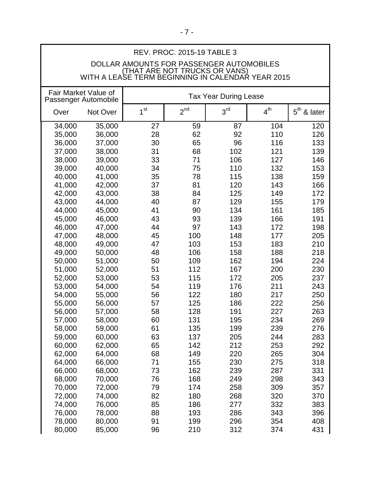| REV. PROC. 2015-19 TABLE 3 |                                          |                                                                                    |          |                              |                 |               |
|----------------------------|------------------------------------------|------------------------------------------------------------------------------------|----------|------------------------------|-----------------|---------------|
|                            | DOLLAR AMOUNTS FOR PASSENGER AUTOMOBILES |                                                                                    |          |                              |                 |               |
|                            |                                          | (THAT ARE NOT TRUCKS OR VANS)<br>WITH A LEASE TERM BEGINNING IN CALENDAR YEAR 2015 |          |                              |                 |               |
|                            |                                          |                                                                                    |          |                              |                 |               |
|                            | Fair Market Value of                     |                                                                                    |          |                              |                 |               |
|                            | Passenger Automobile                     |                                                                                    |          | <b>Tax Year During Lease</b> |                 |               |
| Over                       | Not Over                                 | 1 <sup>st</sup>                                                                    | $2^{nd}$ | 3 <sup>rd</sup>              | $4^{\text{th}}$ | $5th$ & later |
|                            |                                          |                                                                                    |          |                              |                 |               |
| 34,000                     | 35,000                                   | 27                                                                                 | 59       | 87                           | 104             | 120           |
| 35,000                     | 36,000                                   | 28                                                                                 | 62       | 92                           | 110             | 126           |
| 36,000                     | 37,000                                   | 30                                                                                 | 65       | 96                           | 116             | 133           |
| 37,000                     | 38,000                                   | 31                                                                                 | 68       | 102                          | 121             | 139           |
| 38,000                     | 39,000                                   | 33                                                                                 | 71       | 106                          | 127             | 146           |
| 39,000                     | 40,000                                   | 34                                                                                 | 75       | 110                          | 132             | 153           |
| 40,000                     | 41,000                                   | 35                                                                                 | 78       | 115                          | 138             | 159           |
| 41,000                     | 42,000                                   | 37                                                                                 | 81       | 120                          | 143             | 166           |
| 42,000                     | 43,000                                   | 38                                                                                 | 84       | 125                          | 149             | 172           |
| 43,000                     | 44,000                                   | 40                                                                                 | 87       | 129                          | 155             | 179           |
| 44,000                     | 45,000                                   | 41                                                                                 | 90       | 134                          | 161             | 185           |
| 45,000                     | 46,000                                   | 43                                                                                 | 93       | 139                          | 166             | 191           |
| 46,000                     | 47,000                                   | 44                                                                                 | 97       | 143                          | 172             | 198           |
| 47,000                     | 48,000                                   | 45                                                                                 | 100      | 148                          | 177             | 205           |
| 48,000                     | 49,000                                   | 47                                                                                 | 103      | 153                          | 183             | 210           |
| 49,000                     | 50,000                                   | 48                                                                                 | 106      | 158                          | 188             | 218           |
| 50,000                     | 51,000                                   | 50                                                                                 | 109      | 162                          | 194             | 224           |
| 51,000                     | 52,000                                   | 51                                                                                 | 112      | 167                          | 200             | 230           |
| 52,000                     | 53,000                                   | 53                                                                                 | 115      | 172                          | 205             | 237           |
| 53,000                     | 54,000                                   | 54                                                                                 | 119      | 176                          | 211             | 243           |
| 54,000                     | 55,000                                   | 56                                                                                 | 122      | 180                          | 217             | 250           |
| 55,000                     | 56,000                                   | 57                                                                                 | 125      | 186                          | 222             | 256           |
| 56,000                     | 57,000                                   | 58                                                                                 | 128      | 191                          | 227             | 263           |
| 57,000                     | 58,000                                   | 60                                                                                 | 131      | 195                          | 234             | 269           |
| 58,000                     | 59,000                                   | 61                                                                                 | 135      | 199                          | 239             | 276           |
| 59,000                     | 60,000                                   | 63                                                                                 | 137      | 205                          | 244             | 283           |
| 60,000                     | 62,000                                   | 65                                                                                 | 142      | 212                          | 253             | 292           |
| 62,000                     | 64,000                                   | 68                                                                                 | 149      | 220                          | 265             | 304           |
| 64,000                     | 66,000                                   | 71                                                                                 | 155      | 230                          | 275             | 318           |
| 66,000                     | 68,000                                   | 73                                                                                 | 162      | 239                          | 287             | 331           |
| 68,000                     | 70,000                                   | 76                                                                                 | 168      | 249                          | 298             | 343           |
| 70,000                     | 72,000                                   | 79                                                                                 | 174      | 258                          | 309             | 357           |
| 72,000                     | 74,000                                   | 82                                                                                 | 180      | 268                          | 320             | 370           |
|                            |                                          | 85                                                                                 | 186      |                              | 332             | 383           |
| 74,000                     | 76,000                                   | 88                                                                                 | 193      | 277                          |                 |               |
| 76,000                     | 78,000                                   |                                                                                    |          | 286                          | 343             | 396           |
| 78,000                     | 80,000                                   | 91                                                                                 | 199      | 296                          | 354             | 408           |
| 80,000                     | 85,000                                   | 96                                                                                 | 210      | 312                          | 374             | 431           |

 $\mathsf{l}$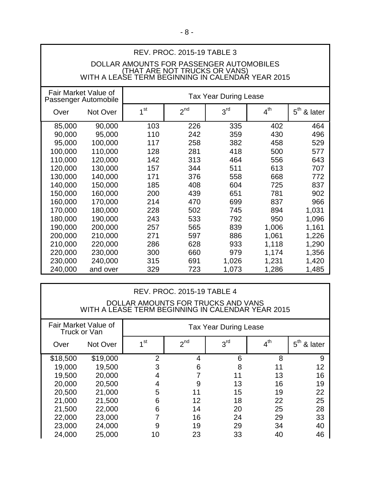# REV. PROC. 2015-19 TABLE 3

# DOLLAR AMOUNTS FOR PASSENGER AUTOMOBILES (THAT ARE NOT TRUCKS OR VANS) WITH A LEASE TERM BEGINNING IN CALENDAR YEAR 2015

| Fair Market Value of<br>Passenger Automobile |          | <b>Tax Year During Lease</b> |                 |                 |                 |                            |
|----------------------------------------------|----------|------------------------------|-----------------|-----------------|-----------------|----------------------------|
| Over                                         | Not Over | 1 <sup>st</sup>              | 2 <sup>nd</sup> | 3 <sup>rd</sup> | 4 <sup>th</sup> | $5^{\text{th}}$<br>& later |
| 85,000                                       | 90,000   | 103                          | 226             | 335             | 402             | 464                        |
| 90,000                                       | 95,000   | 110                          | 242             | 359             | 430             | 496                        |
| 95,000                                       | 100,000  | 117                          | 258             | 382             | 458             | 529                        |
| 100,000                                      | 110,000  | 128                          | 281             | 418             | 500             | 577                        |
| 110,000                                      | 120,000  | 142                          | 313             | 464             | 556             | 643                        |
| 120,000                                      | 130,000  | 157                          | 344             | 511             | 613             | 707                        |
| 130,000                                      | 140,000  | 171                          | 376             | 558             | 668             | 772                        |
| 140,000                                      | 150,000  | 185                          | 408             | 604             | 725             | 837                        |
| 150,000                                      | 160,000  | 200                          | 439             | 651             | 781             | 902                        |
| 160,000                                      | 170,000  | 214                          | 470             | 699             | 837             | 966                        |
| 170,000                                      | 180,000  | 228                          | 502             | 745             | 894             | 1,031                      |
| 180,000                                      | 190,000  | 243                          | 533             | 792             | 950             | 1,096                      |
| 190,000                                      | 200,000  | 257                          | 565             | 839             | 1,006           | 1,161                      |
| 200,000                                      | 210,000  | 271                          | 597             | 886             | 1,061           | 1,226                      |
| 210,000                                      | 220,000  | 286                          | 628             | 933             | 1,118           | 1,290                      |
| 220,000                                      | 230,000  | 300                          | 660             | 979             | 1,174           | 1,356                      |
| 230,000                                      | 240,000  | 315                          | 691             | 1,026           | 1,231           | 1,420                      |
| 240,000                                      | and over | 329                          | 723             | 1,073           | 1,286           | 1,485                      |

| <b>REV. PROC. 2015-19 TABLE 4</b><br>DOLLAR AMOUNTS FOR TRUCKS AND VANS<br>WITH A LEASE TERM BEGINNING IN CALENDAR YEAR 2015 |                      |                              |                 |                 |                 |                            |
|------------------------------------------------------------------------------------------------------------------------------|----------------------|------------------------------|-----------------|-----------------|-----------------|----------------------------|
| Truck or Van                                                                                                                 | Fair Market Value of | <b>Tax Year During Lease</b> |                 |                 |                 |                            |
| Over                                                                                                                         | Not Over             | 1 <sup>st</sup>              | 2 <sup>nd</sup> | 3 <sup>rd</sup> | 4 <sup>th</sup> | $5^{\text{th}}$<br>& later |
| \$18,500                                                                                                                     | \$19,000             | 2                            | 4               | 6               | 8               | 9                          |
| 19,000                                                                                                                       | 19,500               | 3                            | 6               | 8               | 11              | 12                         |
| 19,500                                                                                                                       | 20,000               | 4                            |                 | 11              | 13              | 16                         |
| 20,000                                                                                                                       | 20,500               | $\overline{4}$               | 9               | 13              | 16              | 19                         |
| 20,500                                                                                                                       | 21,000               | 5                            | 11              | 15              | 19              | 22                         |
| 21,000                                                                                                                       | 21,500               | 6                            | 12              | 18              | 22              | 25                         |
| 21,500                                                                                                                       | 22,000               | 6                            | 14              | 20              | 25              | 28                         |
| 22,000                                                                                                                       | 23,000               | 7                            | 16              | 24              | 29              | 33                         |
| 23,000                                                                                                                       | 24,000               | 9                            | 19              | 29              | 34              | 40                         |
| 24,000                                                                                                                       | 25,000               | 10                           | 23              | 33              | 40              | 46                         |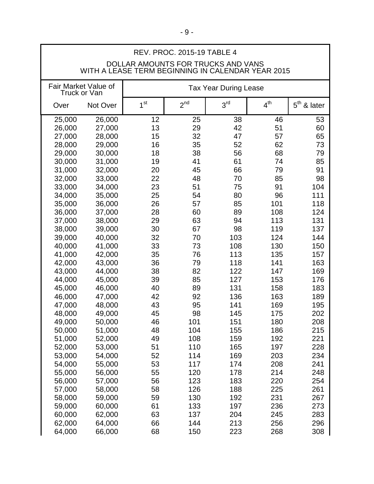|                                                                                         | <b>REV. PROC. 2015-19 TABLE 4</b>    |                 |          |                              |                 |               |
|-----------------------------------------------------------------------------------------|--------------------------------------|-----------------|----------|------------------------------|-----------------|---------------|
| DOLLAR AMOUNTS FOR TRUCKS AND VANS<br>WITH A LEASE TERM BEGINNING IN CALENDAR YEAR 2015 |                                      |                 |          |                              |                 |               |
|                                                                                         | Fair Market Value of<br>Truck or Van |                 |          | <b>Tax Year During Lease</b> |                 |               |
| Over                                                                                    | Not Over                             | 1 <sup>st</sup> | $2^{nd}$ | 3 <sup>rd</sup>              | 4 <sup>th</sup> | $5th$ & later |
| 25,000                                                                                  | 26,000                               | 12              | 25       | 38                           | 46              | 53            |
| 26,000                                                                                  | 27,000                               | 13              | 29       | 42                           | 51              | 60            |
| 27,000                                                                                  | 28,000                               | 15              | 32       | 47                           | 57              | 65            |
| 28,000                                                                                  | 29,000                               | 16              | 35       | 52                           | 62              | 73            |
| 29,000                                                                                  | 30,000                               | 18              | 38       | 56                           | 68              | 79            |
| 30,000                                                                                  | 31,000                               | 19              | 41       | 61                           | 74              | 85            |
| 31,000                                                                                  | 32,000                               | 20              | 45       | 66                           | 79              | 91            |
| 32,000                                                                                  | 33,000                               | 22              | 48       | 70                           | 85              | 98            |
| 33,000                                                                                  | 34,000                               | 23              | 51       | 75                           | 91              | 104           |
| 34,000                                                                                  | 35,000                               | 25              | 54       | 80                           | 96              | 111           |
| 35,000                                                                                  | 36,000                               | 26              | 57       | 85                           | 101             | 118           |
| 36,000                                                                                  | 37,000                               | 28              | 60       | 89                           | 108             | 124           |
| 37,000                                                                                  | 38,000                               | 29              | 63       | 94                           | 113             | 131           |
| 38,000                                                                                  | 39,000                               | 30              | 67       | 98                           | 119             | 137           |
| 39,000                                                                                  | 40,000                               | 32              | 70<br>73 | 103                          | 124             | 144           |
| 40,000<br>41,000                                                                        | 41,000<br>42,000                     | 33<br>35        | 76       | 108<br>113                   | 130<br>135      | 150<br>157    |
| 42,000                                                                                  | 43,000                               | 36              | 79       | 118                          | 141             | 163           |
| 43,000                                                                                  | 44,000                               | 38              | 82       | 122                          | 147             | 169           |
| 44,000                                                                                  | 45,000                               | 39              | 85       | 127                          | 153             | 176           |
| 45,000                                                                                  | 46,000                               | 40              | 89       | 131                          | 158             | 183           |
| 46,000                                                                                  | 47,000                               | 42              | 92       | 136                          | 163             | 189           |
| 47,000                                                                                  | 48,000                               | 43              | 95       | 141                          | 169             | 195           |
| 48,000                                                                                  | 49,000                               | 45              | 98       | 145                          | 175             | 202           |
| 49,000                                                                                  | 50,000                               | 46              | 101      | 151                          | 180             | 208           |
| 50,000                                                                                  | 51,000                               | 48              | 104      | 155                          | 186             | 215           |
| 51,000                                                                                  | 52,000                               | 49              | 108      | 159                          | 192             | 221           |
| 52,000                                                                                  | 53,000                               | 51              | 110      | 165                          | 197             | 228           |
| 53,000                                                                                  | 54,000                               | 52              | 114      | 169                          | 203             | 234           |
| 54,000                                                                                  | 55,000                               | 53              | 117      | 174                          | 208             | 241           |
| 55,000                                                                                  | 56,000                               | 55              | 120      | 178                          | 214             | 248           |
| 56,000                                                                                  | 57,000                               | 56              | 123      | 183                          | 220             | 254           |
| 57,000                                                                                  | 58,000                               | 58              | 126      | 188                          | 225             | 261           |
| 58,000                                                                                  | 59,000                               | 59              | 130      | 192                          | 231             | 267           |
| 59,000                                                                                  | 60,000                               | 61              | 133      | 197                          | 236             | 273           |
| 60,000                                                                                  | 62,000                               | 63              | 137      | 204                          | 245             | 283           |
| 62,000                                                                                  | 64,000                               | 66              | 144      | 213                          | 256             | 296           |
| 64,000                                                                                  | 66,000                               | 68              | 150      | 223                          | 268             | 308           |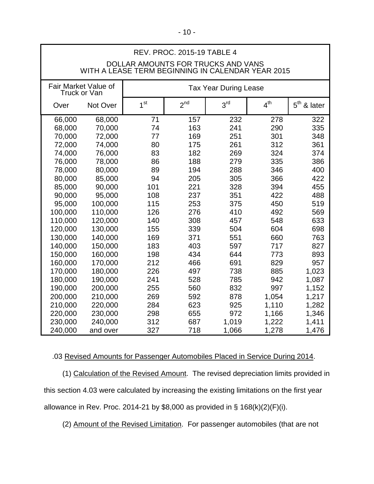| REV. PROC. 2015-19 TABLE 4 |                                      |                                                                                         |                 |                              |                 |                         |
|----------------------------|--------------------------------------|-----------------------------------------------------------------------------------------|-----------------|------------------------------|-----------------|-------------------------|
|                            |                                      | DOLLAR AMOUNTS FOR TRUCKS AND VANS<br>WITH A LEASE TERM BEGINNING IN CALENDAR YEAR 2015 |                 |                              |                 |                         |
|                            |                                      |                                                                                         |                 |                              |                 |                         |
|                            | Fair Market Value of<br>Truck or Van |                                                                                         |                 | <b>Tax Year During Lease</b> |                 |                         |
| Over                       | Not Over                             | 1 <sup>st</sup>                                                                         | 2 <sup>nd</sup> | 3 <sup>rd</sup>              | 4 <sup>th</sup> | $5^{\sf th}$<br>& later |
| 66,000                     | 68,000                               | 71                                                                                      | 157             | 232                          | 278             | 322                     |
| 68,000                     | 70,000                               | 74                                                                                      | 163             | 241                          | 290             | 335                     |
| 70,000                     | 72,000                               | 77                                                                                      | 169             | 251                          | 301             | 348                     |
| 72,000                     | 74,000                               | 80                                                                                      | 175             | 261                          | 312             | 361                     |
| 74,000                     | 76,000                               | 83                                                                                      | 182             | 269                          | 324             | 374                     |
| 76,000                     | 78,000                               | 86                                                                                      | 188             | 279                          | 335             | 386                     |
| 78,000                     | 80,000                               | 89                                                                                      | 194             | 288                          | 346             | 400                     |
| 80,000                     | 85,000                               | 94                                                                                      | 205             | 305                          | 366             | 422                     |
| 85,000                     | 90,000                               | 101                                                                                     | 221             | 328                          | 394             | 455                     |
| 90,000                     | 95,000                               | 108                                                                                     | 237             | 351                          | 422             | 488                     |
| 95,000                     | 100,000                              | 115                                                                                     | 253             | 375                          | 450             | 519                     |
| 100,000                    | 110,000                              | 126                                                                                     | 276             | 410                          | 492             | 569                     |
| 110,000                    | 120,000                              | 140                                                                                     | 308             | 457                          | 548             | 633                     |
| 120,000                    | 130,000                              | 155                                                                                     | 339             | 504                          | 604             | 698                     |
| 130,000                    | 140,000                              | 169                                                                                     | 371             | 551                          | 660             | 763                     |
| 140,000                    | 150,000                              | 183                                                                                     | 403             | 597                          | 717             | 827                     |
| 150,000                    | 160,000                              | 198                                                                                     | 434             | 644                          | 773             | 893                     |
| 160,000                    | 170,000                              | 212                                                                                     | 466             | 691                          | 829             | 957                     |
| 170,000                    | 180,000                              | 226                                                                                     | 497             | 738                          | 885             | 1,023                   |
| 180,000                    | 190,000                              | 241                                                                                     | 528             | 785                          | 942             | 1,087                   |
| 190,000                    | 200,000                              | 255                                                                                     | 560             | 832                          | 997             | 1,152                   |
| 200,000                    | 210,000                              | 269                                                                                     | 592             | 878                          | 1,054           | 1,217                   |
| 210,000                    | 220,000                              | 284                                                                                     | 623             | 925                          | 1,110           | 1,282                   |
| 220,000                    | 230,000                              | 298                                                                                     | 655             | 972                          | 1,166           | 1,346                   |
| 230,000                    | 240,000                              | 312                                                                                     | 687             | 1,019                        | 1,222           | 1,411                   |
| 240,000                    | and over                             | 327                                                                                     | 718             | 1,066                        | 1,278           | 1,476                   |

.03 Revised Amounts for Passenger Automobiles Placed in Service During 2014.

 (1) Calculation of the Revised Amount. The revised depreciation limits provided in this section 4.03 were calculated by increasing the existing limitations on the first year allowance in Rev. Proc. 2014-21 by \$8,000 as provided in § 168(k)(2)(F)(i).

(2) Amount of the Revised Limitation. For passenger automobiles (that are not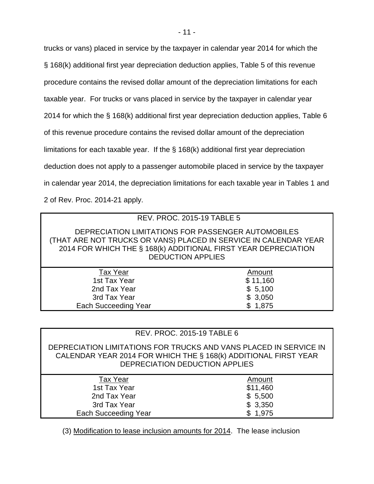trucks or vans) placed in service by the taxpayer in calendar year 2014 for which the § 168(k) additional first year depreciation deduction applies, Table 5 of this revenue procedure contains the revised dollar amount of the depreciation limitations for each taxable year. For trucks or vans placed in service by the taxpayer in calendar year 2014 for which the § 168(k) additional first year depreciation deduction applies, Table 6 of this revenue procedure contains the revised dollar amount of the depreciation limitations for each taxable year. If the § 168(k) additional first year depreciation deduction does not apply to a passenger automobile placed in service by the taxpayer in calendar year 2014, the depreciation limitations for each taxable year in Tables 1 and 2 of Rev. Proc. 2014-21 apply.

# REV. PROC. 2015-19 TABLE 5

DEPRECIATION LIMITATIONS FOR PASSENGER AUTOMOBILES (THAT ARE NOT TRUCKS OR VANS) PLACED IN SERVICE IN CALENDAR YEAR 2014 FOR WHICH THE § 168(k) ADDITIONAL FIRST YEAR DEPRECIATION DEDUCTION APPLIES

| <b>Tax Year</b>      | Amount   |
|----------------------|----------|
| 1st Tax Year         | \$11,160 |
| 2nd Tax Year         | \$5,100  |
| 3rd Tax Year         | \$3,050  |
| Each Succeeding Year | \$1,875  |
|                      |          |

## REV. PROC. 2015-19 TABLE 6

DEPRECIATION LIMITATIONS FOR TRUCKS AND VANS PLACED IN SERVICE IN CALENDAR YEAR 2014 FOR WHICH THE § 168(k) ADDITIONAL FIRST YEAR DEPRECIATION DEDUCTION APPLIES

| <b>Tax Year</b>      | Amount   |
|----------------------|----------|
| 1st Tax Year         | \$11,460 |
| 2nd Tax Year         | \$5,500  |
| 3rd Tax Year         | \$3,350  |
| Each Succeeding Year | \$1,975  |

(3) Modification to lease inclusion amounts for 2014. The lease inclusion